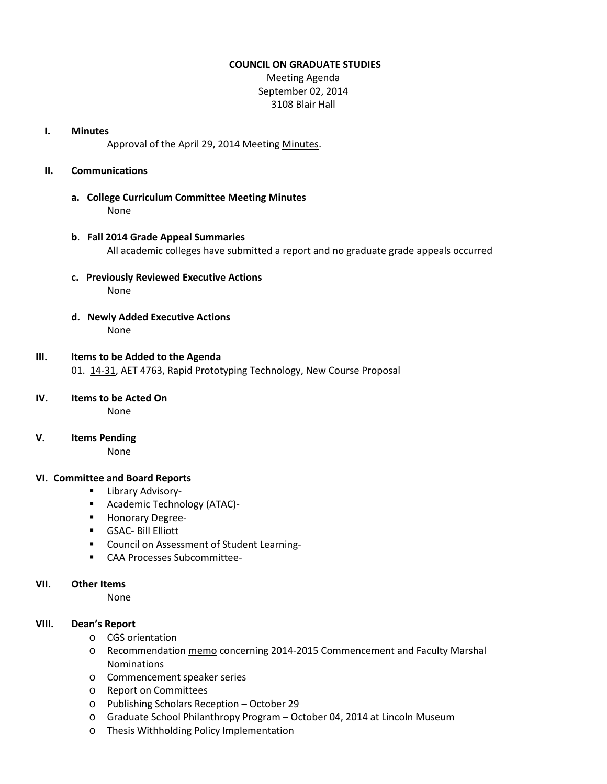### **COUNCIL ON GRADUATE STUDIES**

Meeting Agenda September 02, 2014 3108 Blair Hall

#### **I. Minutes**

Approval of the April 29, 2014 Meetin[g Minutes.](http://castle.eiu.edu/eiucgs/currentminutes/Minutes04-29-14.pdf)

## **II. Communications**

**a. College Curriculum Committee Meeting Minutes** None

## **b**. **Fall 2014 Grade Appeal Summaries** All academic colleges have submitted a report and no graduate grade appeals occurred

- **c. Previously Reviewed Executive Actions** None
- **d. Newly Added Executive Actions** None

# **III. Items to be Added to the Agenda**

01. [14-31,](http://castle.eiu.edu/~eiucgs/currentagendaitems/agenda14-31.pdf) AET 4763, Rapid Prototyping Technology, New Course Proposal

### **IV. Items to be Acted On**

None

**V. Items Pending**

None

## **VI. Committee and Board Reports**

- **Library Advisory-**
- **Academic Technology (ATAC)-**
- **Honorary Degree-**
- **GSAC- Bill Elliott**
- **EXECOUNCIL ON Assessment of Student Learning-**
- **EXAMENAGES** CAA Processes Subcommittee-

## **VII. Other Items**

None

## **VIII. Dean's Report**

- o CGS orientation
- o Recommendation [memo](http://castle.eiu.edu/~eiucgs/documents/2014-2015CommencementFacultyMarshal.pdf) concerning 2014-2015 Commencement and Faculty Marshal Nominations
- o Commencement speaker series
- o Report on Committees
- o Publishing Scholars Reception October 29
- o Graduate School Philanthropy Program October 04, 2014 at Lincoln Museum
- o Thesis Withholding Policy Implementation